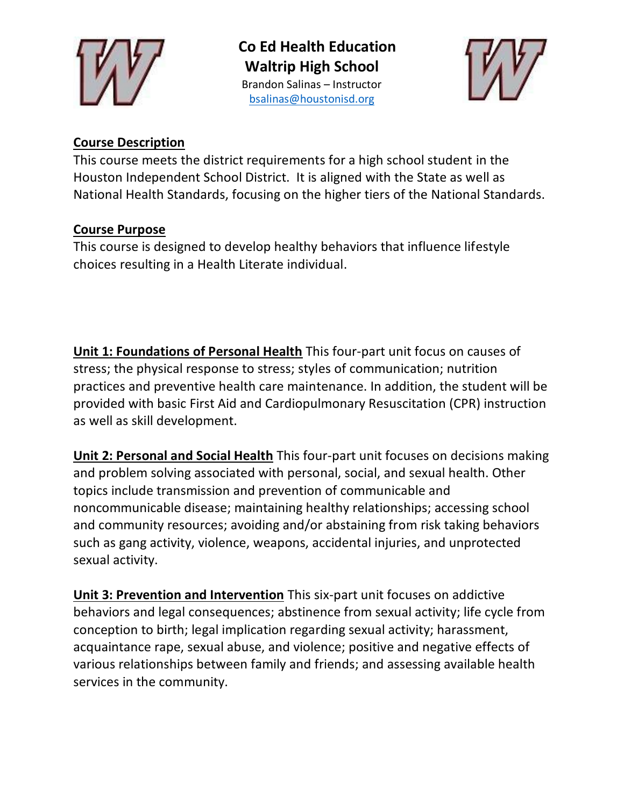

**Co Ed Health Education Waltrip High School** Brandon Salinas – Instructor [bsalinas@houstonisd.org](mailto:bsalinas@houstonisd.org)



## **Course Description**

This course meets the district requirements for a high school student in the Houston Independent School District. It is aligned with the State as well as National Health Standards, focusing on the higher tiers of the National Standards.

## **Course Purpose**

This course is designed to develop healthy behaviors that influence lifestyle choices resulting in a Health Literate individual.

**Unit 1: Foundations of Personal Health** This four-part unit focus on causes of stress; the physical response to stress; styles of communication; nutrition practices and preventive health care maintenance. In addition, the student will be provided with basic First Aid and Cardiopulmonary Resuscitation (CPR) instruction as well as skill development.

**Unit 2: Personal and Social Health** This four-part unit focuses on decisions making and problem solving associated with personal, social, and sexual health. Other topics include transmission and prevention of communicable and noncommunicable disease; maintaining healthy relationships; accessing school and community resources; avoiding and/or abstaining from risk taking behaviors such as gang activity, violence, weapons, accidental injuries, and unprotected sexual activity.

**Unit 3: Prevention and Intervention** This six-part unit focuses on addictive behaviors and legal consequences; abstinence from sexual activity; life cycle from conception to birth; legal implication regarding sexual activity; harassment, acquaintance rape, sexual abuse, and violence; positive and negative effects of various relationships between family and friends; and assessing available health services in the community.